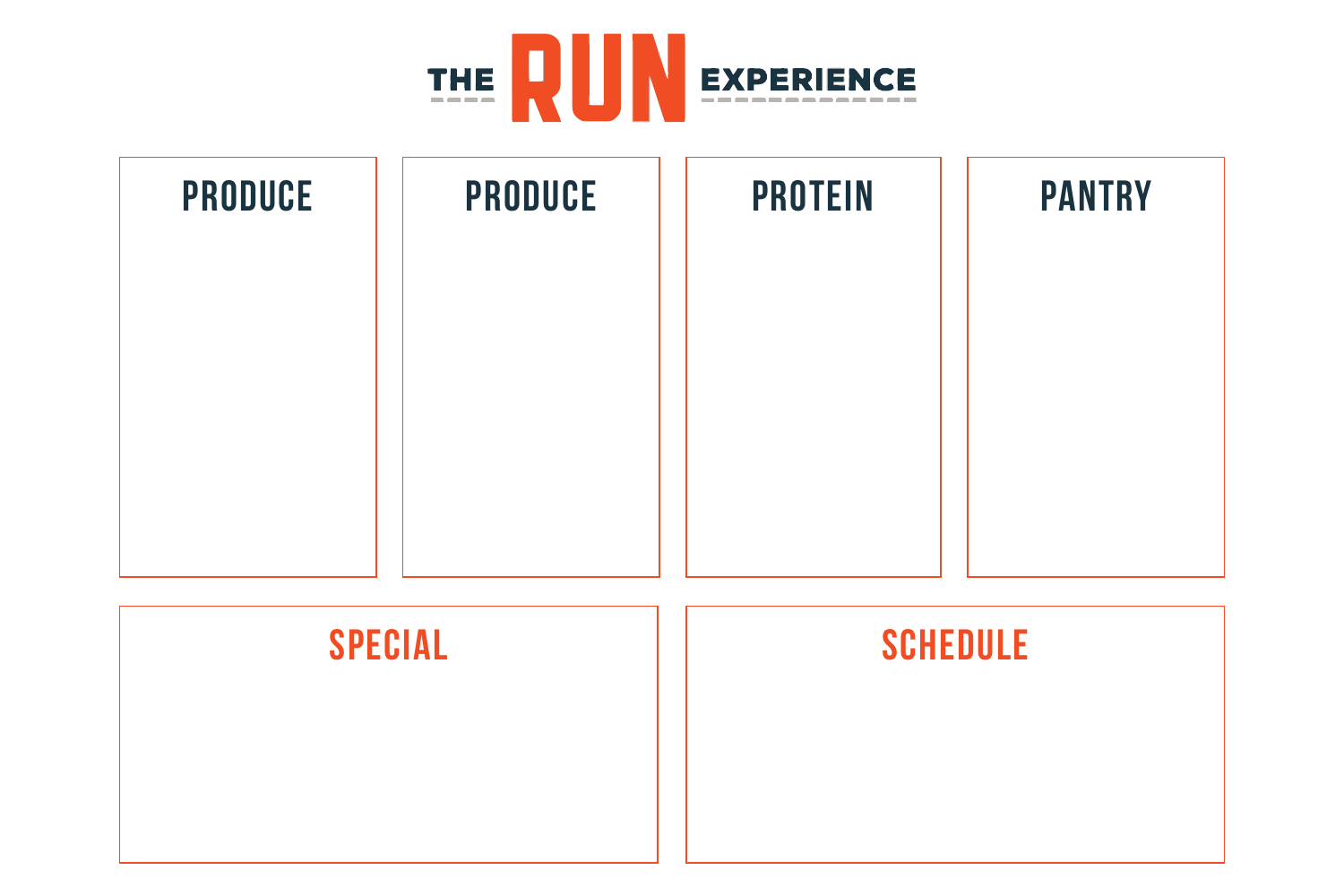



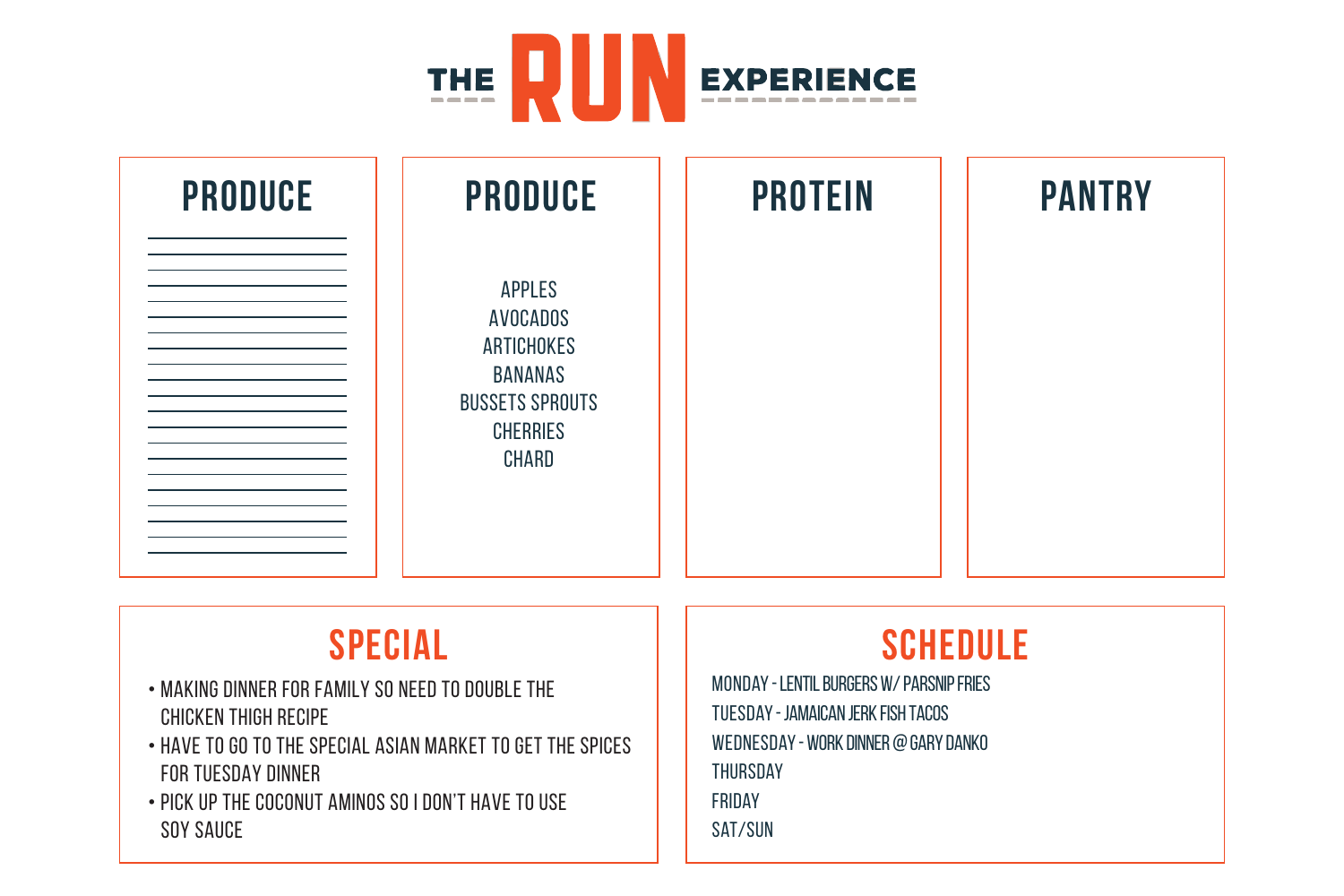

| <b>PRODUCE</b> | <b>PRODUCE</b>                                                                                                                | <b>PROTEIN</b> | <b>PANTRY</b> |
|----------------|-------------------------------------------------------------------------------------------------------------------------------|----------------|---------------|
|                | <b>APPLES</b><br><b>AVOCADOS</b><br>ARTICHOKES<br><b>BANANAS</b><br><b>BUSSETS SPROUTS</b><br><b>CHERRIES</b><br><b>CHARD</b> |                |               |

- making dinner for family so need to double the chicken thigh recipe
- have to go to the special asian market to get the spices for tuesday dinner
- pick up the coconut aminos so i don't have to use soy sauce

# **Special Schedule**

Monday - Lentil burgers w/ parsnip fries Tuesday - jamaican jerk fish tacos Wednesday - work dinner @ gary danko **THURSDAY** Friday Sat/Sun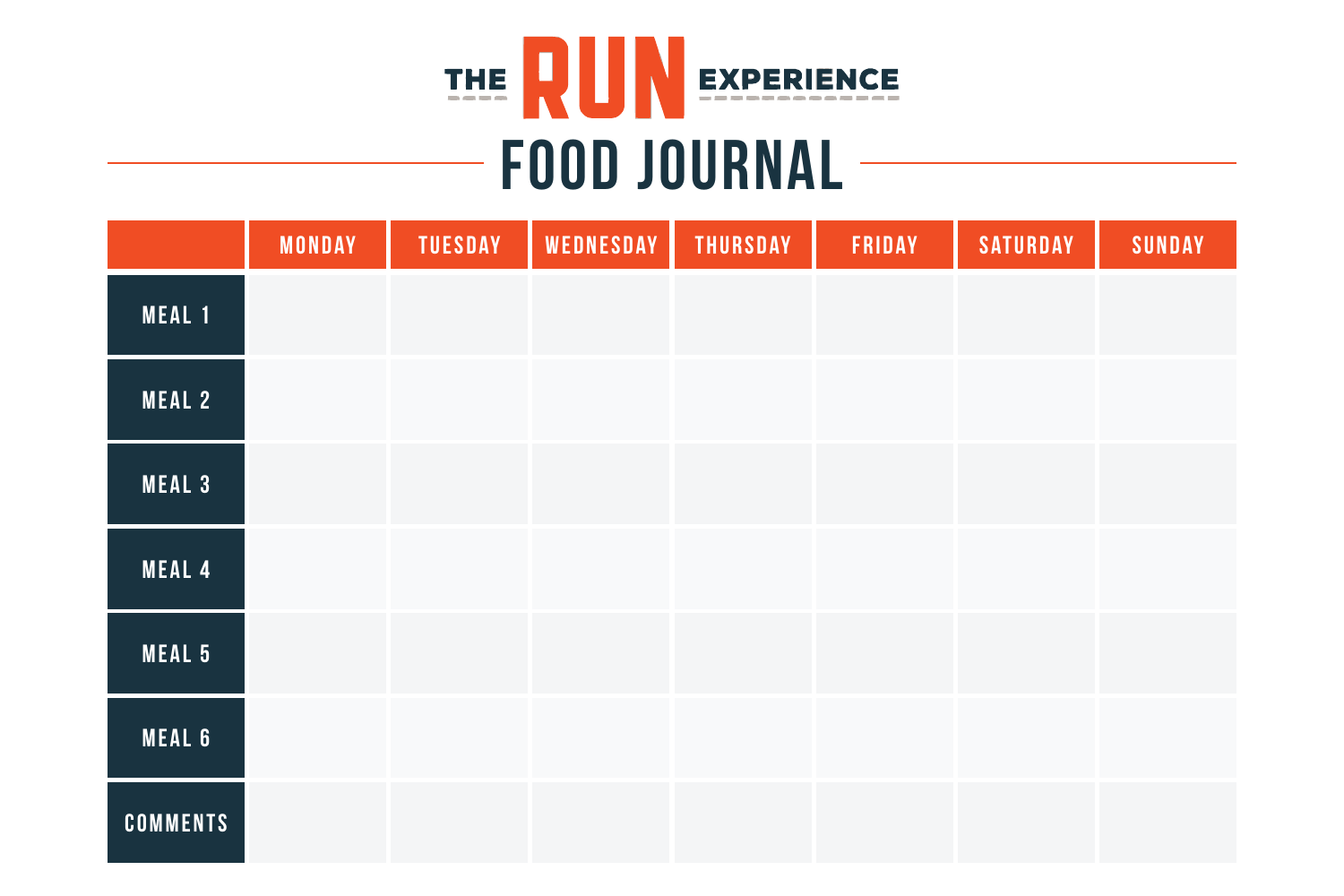

# **FOOD JOURNAL**

|                 | <b>MONDAY</b> | <b>TUESDAY</b> | WEDNESDAY | <b>THURSDAY</b> | FRIDAY | <b>SATURDAY</b> | <b>SUNDAY</b> |
|-----------------|---------------|----------------|-----------|-----------------|--------|-----------------|---------------|
| MEAL 1          |               |                |           |                 |        |                 |               |
| <b>MEAL 2</b>   |               |                |           |                 |        |                 |               |
| <b>MEAL 3</b>   |               |                |           |                 |        |                 |               |
| <b>MEAL 4</b>   |               |                |           |                 |        |                 |               |
| <b>MEAL 5</b>   |               |                |           |                 |        |                 |               |
| <b>MEAL 6</b>   |               |                |           |                 |        |                 |               |
| <b>COMMENTS</b> |               |                |           |                 |        |                 |               |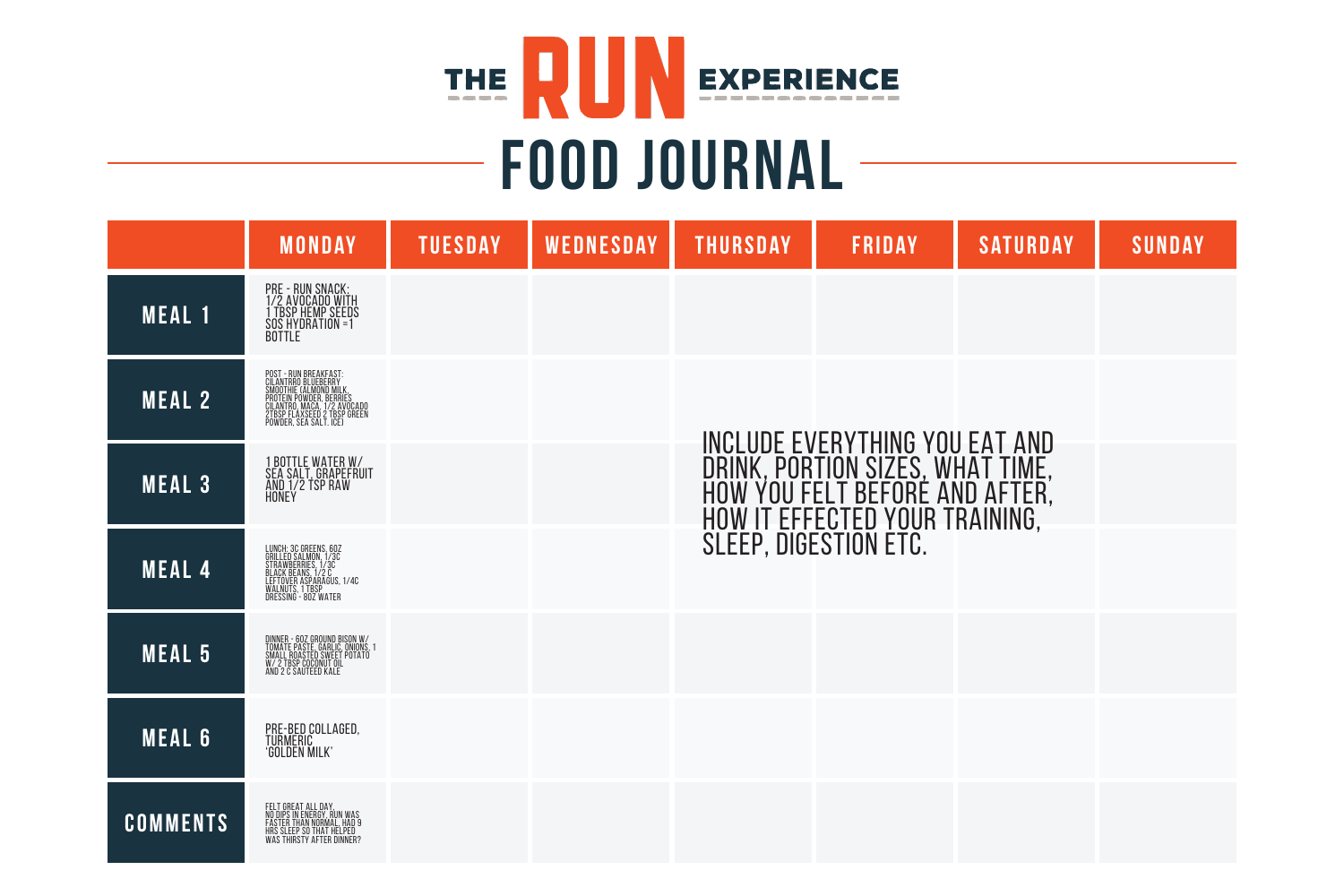

# **FOOD JOURNAL**

|                 | <b>MONDAY</b>                                                                                                                                                                             | <b>TUESDAY</b> | <b>WEDNESDAY</b> | <b>THURSDAY</b> | <b>FRIDAY</b>                                                                                                                                                          | <b>SATURDAY</b> | <b>SUNDAY</b> |
|-----------------|-------------------------------------------------------------------------------------------------------------------------------------------------------------------------------------------|----------------|------------------|-----------------|------------------------------------------------------------------------------------------------------------------------------------------------------------------------|-----------------|---------------|
| <b>MEAL 1</b>   | PRE - RUN SNACK:<br>1/2 AVOCADO WITH<br>1 TBSP HEMP SEEDS<br>SQS HYDRATION =1<br><b>BOTTLE</b>                                                                                            |                |                  |                 |                                                                                                                                                                        |                 |               |
| <b>MEAL 2</b>   | POST - RUN BREAKFAST:<br>CILANTRRO BLUEBERRY<br>SMOOTHIE CALMOND MILK,<br>PROTEIN POWDER, BERRIES<br>CILANTRO, MACA, 1/2 AVOCADO<br>2TBSP FLAXSEED 2 TBSP GREEN<br>POWDER, SEA SALT. ICE) |                |                  |                 |                                                                                                                                                                        |                 |               |
| <b>MEAL 3</b>   | 1 BOTTLE WATER W/<br>SEA SALT, GRAPEFRUIT<br>AND 1/2 TSP RAW<br>Honey                                                                                                                     |                |                  |                 | <b>INCLUDE EVERYTHING YOU EAT AND</b><br>DRINK, PORTION SIZES, WHAT TIME,<br>HOW YOU FELT BEFORE AND AFTER,<br>HOW IT EFFECTED YOUR TRAINING,<br>SLEEP, DIGESTION ETC. |                 |               |
| <b>MEAL 4</b>   | LUNCH: 3C GREENS, 60Z<br>GRILLED SALMON, 1/3C<br>STRAWBERRIES, 1/3C<br>BLACK BEANS, 1/2C<br>LEFTOVER ASPARAGUS, 1/4C<br>WALNUTS, 1 TBSP<br>DRESSING - 80Z WATER                           |                |                  |                 |                                                                                                                                                                        |                 |               |
| <b>MEAL 5</b>   | DINNER - 602 GROUND BISON W/<br>TOMATE PASTE, GARLIC, ONIONS, 1<br>SMALL ROASTED SWEET POTATO<br>W/ 2 TBSP COCONUT OIL<br>AND 2 C SAUTEED KALE                                            |                |                  |                 |                                                                                                                                                                        |                 |               |
| <b>MEAL 6</b>   | PRE-BED COLLAGED,<br>TURMERIC<br><b>GOLDEN MILK</b>                                                                                                                                       |                |                  |                 |                                                                                                                                                                        |                 |               |
| <b>COMMENTS</b> | FELT GREAT ALL DAY,<br>NO DIPS IN ENERGY, RUN WAS<br>FASTER THAN NORMAL, HAD 9<br>HRS SLEEP SO THAT HELPED<br>WAS THIRSTY AFTER DINNER?                                                   |                |                  |                 |                                                                                                                                                                        |                 |               |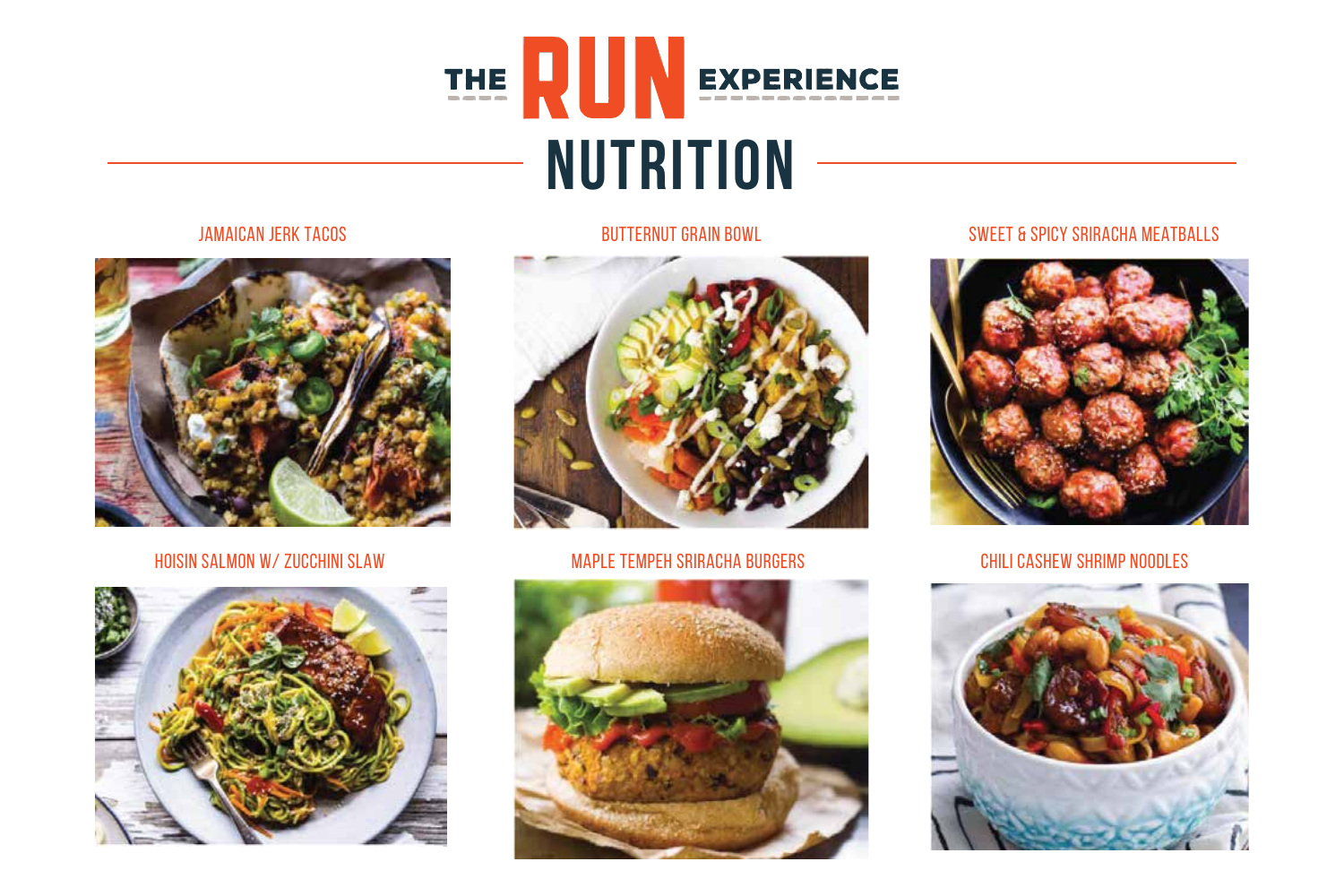



#### Hoisin Salmon w/ Zucchini Slaw Maple Tempeh Sriracha Burgers Chili Cashew Shrimp Noodles







### Jamaican Jerk Tacos Butternut Grain Bowl Sweet & Spicy Sriracha Meatballs



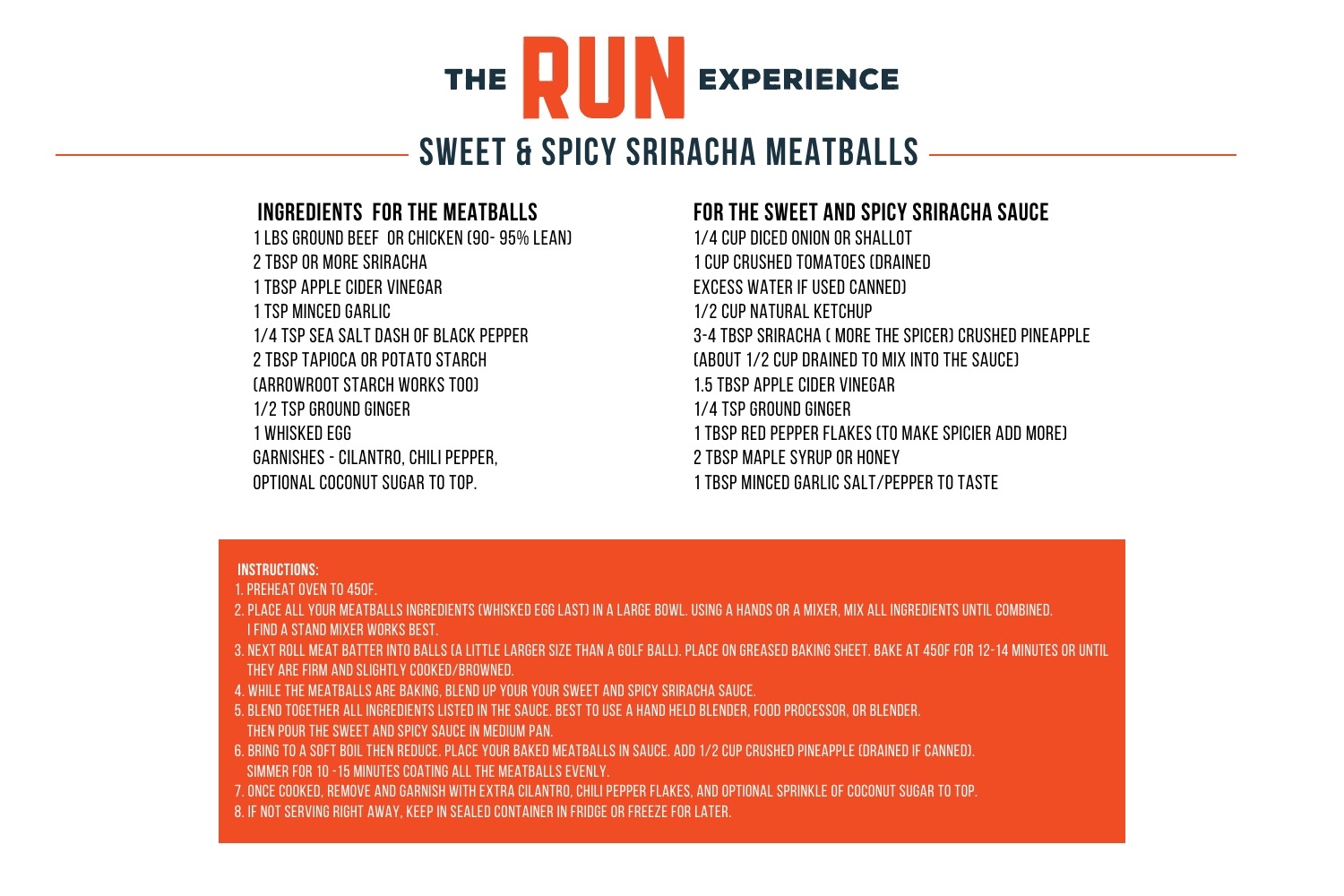

# **Sweet & Spicy Sriracha Meatballs**

# **Ingredients For the Meatballs**

1 lbs ground beef or chicken (90- 95% Lean) 2 tbsp or more Sriracha 1 tbsp apple cider vinegar 1 tsp minced garlic 1/4 tsp sea salt dash of black pepper 2 tbsp tapioca or potato starch (arrowroot starch works too) 1/2 tsp ground ginger 1 whisked egg Garnishes - cilantro, chili pepper, optional coconut sugar to top.

# **For the sweet and spicy Sriracha Sauce**

1/4 cup diced onion or shallot 1 cup crushed tomatoes (drained excess water if used canned) 1/2 cup natural ketchup 3-4 tbsp Sriracha ( more the spicer) crushed pineapple (about 1/2 cup drained to mix into the sauce) 1.5 tbsp Apple Cider Vinegar 1/4 tsp ground ginger 1 tbsp red pepper flakes (to make spicier add more) 2 tbsp maple syrup or honey 1 tbsp minced garlic salt/pepper to taste

#### **Instructions:**

1. Preheat oven to 450F.

- 2. Place all your meatballs ingredients (whisked egg last) in a large bowl. Using a hands or a mixer, mix all ingredients until combined. I find a stand mixer works best.
- 3. Next Roll meat batter into balls (a little larger size than a golf ball). Place on greased baking sheet. Bake at 450F for 12-14 minutes or until they are firm and slightly cooked/browned.
- 4. While the meatballs are baking, blend up your your sweet and spicy Sriracha sauce.
- 5. Blend together all ingredients listed in the sauce. Best to use a hand held blender, food processor, or blender. Then pour the sweet and spicy sauce in medium pan.
- 6. Bring to a soft boil then reduce. Place your baked meatballs in sauce. Add 1/2 cup crushed pineapple (drained if canned).
- Simmer for 10 -15 minutes coating all the meatballs evenly.
- 7. Once cooked, remove and Garnish with extra cilantro, chili pepper flakes, and optional sprinkle of coconut sugar to top.
- 8. If not serving right away, keep in sealed container in fridge or freeze for later.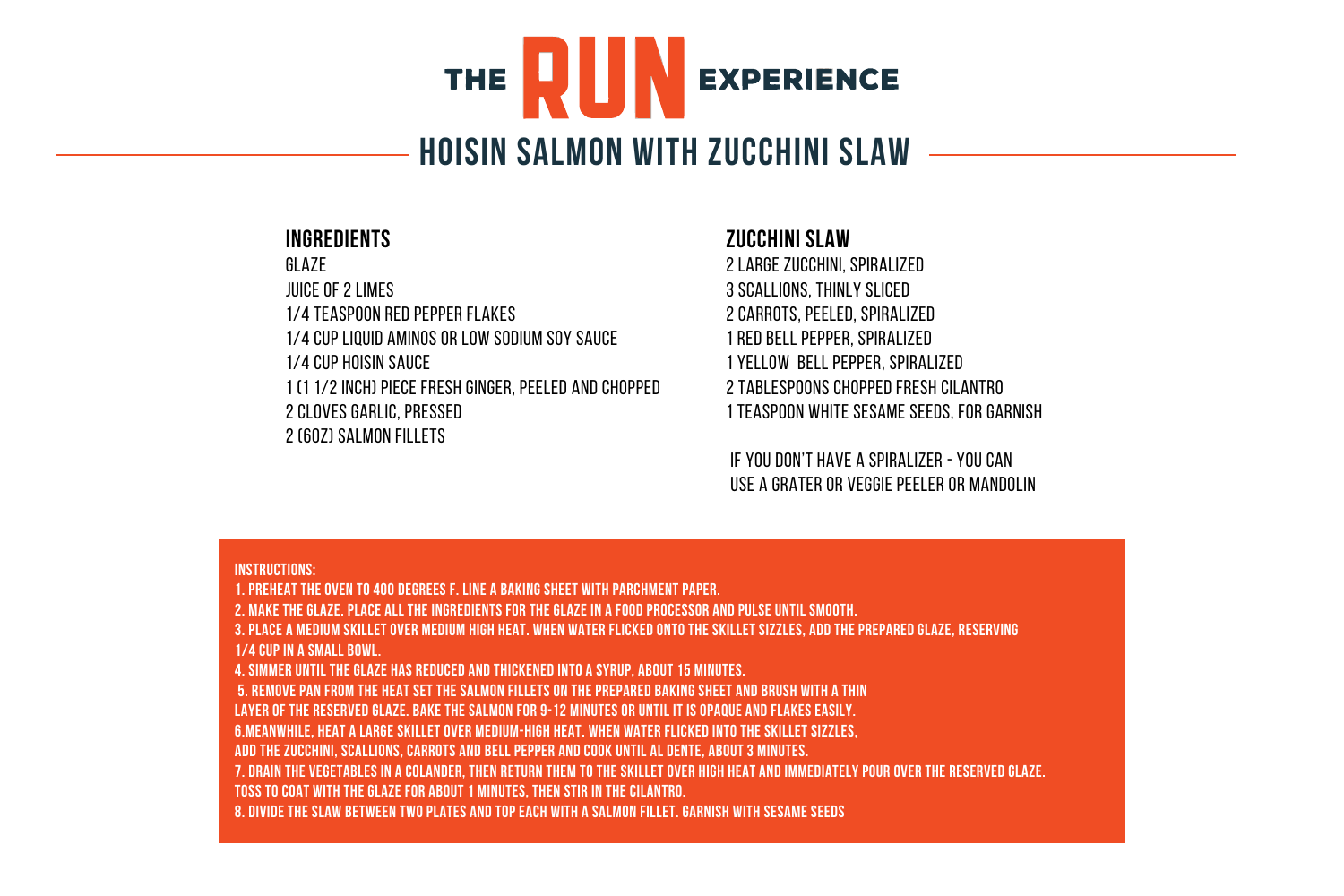# Ш **EXPERIENCE THE**

# **Hoisin Salmon with Zucchini Slaw**

### **INGREdients**

**GLAZE** 

juice of 2 limes

1/4 teaspoon red pepper flakes

1/4 cup Liquid Aminos or low sodium soy sauce

1/4 cup hoisin sauce

1 (1 1/2 inch) piece fresh ginger, peeled and chopped 2 cloves garlic, pressed

2 (6oz) salmon fillets

## **Zucchini Slaw**

2 large zucchini, spiralized 3 scallions, thinly sliced 2 carrots, peeled, spiralized 1 red bell pepper, spiralized 1 yellow bell pepper, spiralized 2 tablespoons chopped fresh cilantro 1 teaspoon white sesame seeds, for garnish

if you don't have a spiralizer - you can use a grater or veggie peeler or mandolin

#### **Instructions:**

**1. Preheat the oven to 400 degrees F. Line a baking sheet with parchment paper. 2. Make the glaze. Place all the ingredients for the glaze in a food processor and pulse until smooth. 3. Place a medium skillet over medium high heat. When water flicked onto the skillet sizzles, add the prepared glaze, reserving 1/4 cup in a small bowl. 4. Simmer until the glaze has reduced and thickened into a syrup, about 15 minutes. 5. Remove pan from the heat Set the salmon fillets on the prepared baking sheet and brush with a thin layer of the reserved glaze. Bake the salmon for 9-12 minutes or until it is opaque and flakes easily. 6.Meanwhile, heat a large skillet over medium-high heat. When water flicked into the skillet sizzles, add the zucchini, scallions, carrots and bell pepper and cook until al dente, about 3 minutes. 7. Drain the vegetables in a colander, then return them to the skillet over high heat and immediately pour over the reserved glaze. Toss to coat with the glaze for about 1 minutes, then stir in the cilantro. 8. Divide the slaw between two plates and top each with a salmon fillet. Garnish with sesame seeds**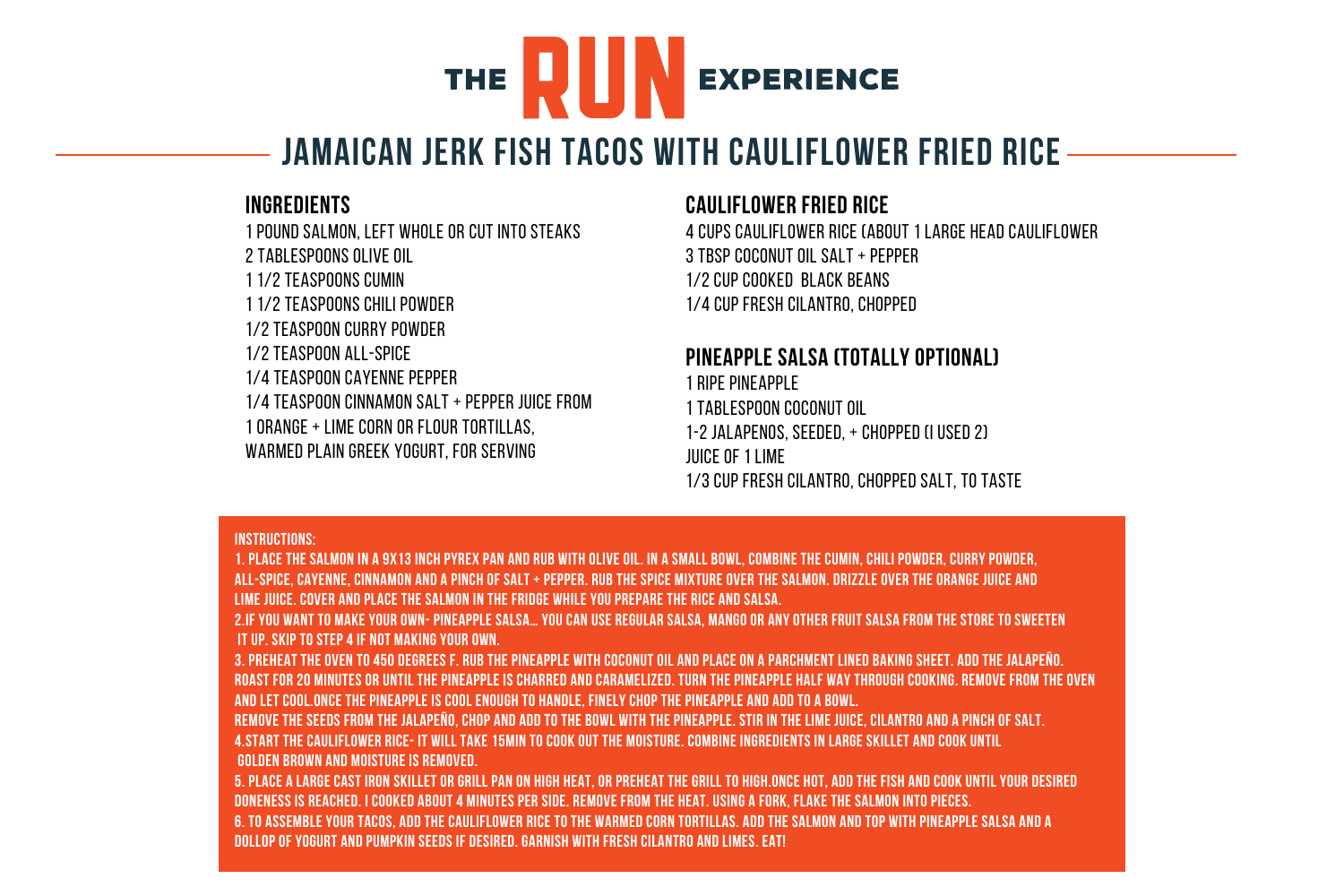# UШ EXPERIENCE **THE**

# **Jamaican Jerk Fish Tacos with Cauliflower Fried Rice**

# **INGREdients**

1 pound salmon, left whole or cut into steaks 2 tablespoons olive oil 1 1/2 teaspoons cumin 1 1/2 teaspoons chili powder 1/2 teaspoon curry powder 1/2 teaspoon all-spice 1/4 teaspoon cayenne pepper 1/4 teaspoon cinnamon salt + pepper juice from 1 orange + lime corn or flour tortillas, warmed plain greek yogurt, for serving

# **Cauliflower Fried Rice**

4 cups cauliflower rice (about 1 large head cauliflower  $3$  tbsp coconut oil salt + pepper 1/2 cup cooked black beans 1/4 cup fresh cilantro, chopped

# **Pineapple Salsa (totally optional)**

1 ripe pineapple 1 tablespoon coconut oil 1-2 jalapenos, seeded, + chopped (i used 2) juice of 1 lime 1/3 cup fresh cilantro, chopped salt, to taste

#### **Instructions:**

**1. Place the salmon in a 9x13 inch pyrex pan and rub with olive oil. In a small bowl, combine the cumin, chili powder, curry powder, all-spice, cayenne, cinnamon and a pinch of salt + pepper. Rub the spice mixture over the salmon. Drizzle over the orange juice and lime juice. Cover and place the salmon in the fridge while you prepare the rice and salsa.**

**2.IF you want to make your own- Pineapple Salsa… you can use regular salsa, mango or any other fruit salsa from the store to sweeten it up. Skip to step 4 if not making your own.** 

**3. Preheat the oven to 450 degrees f. Rub the pineapple with coconut oil and place on a parchment lined baking sheet. Add the jalapeño. Roast for 20 minutes or until the pineapple is charred and caramelized. Turn the pineapple half way through cooking. Remove from the oven and let cool.Once the pineapple is cool enough to handle, finely chop the pineapple and add to a bowl.**

**Remove the seeds from the jalapeño, chop and add to the bowl with the pineapple. Stir in the lime juice, cilantro and a pinch of salt. 4.Start the cauliflower rice- it will take 15min to cook out the moisture. Combine ingredients in large skillet and cook until golden brown and moisture is removed.** 

**5. Place a large cast iron skillet or grill pan on high heat, or preheat the grill to high.Once hot, add the fish and cook until your desired doneness is reached. I cooked about 4 minutes per side. Remove from the heat. Using a fork, flake the salmon into pieces. 6. to assemble your tacos, add the cauliflower rice to the warmed corn tortillas. Add the salmon and top with pineapple salsa and a dollop of yogurt and pumpkin seeds if desired. Garnish with fresh cilantro and limes. EAT!**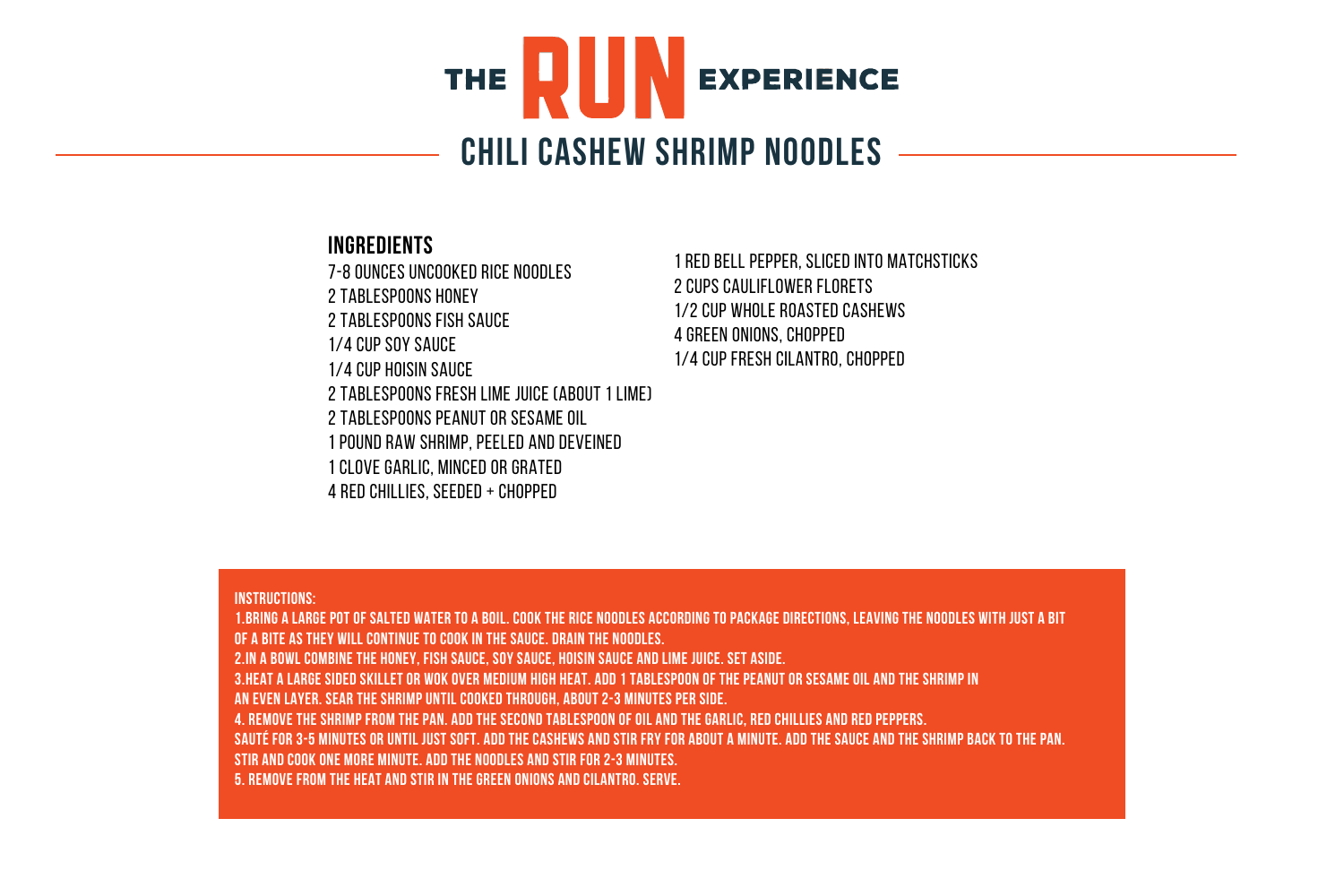# RUI. **THE EXPERIENCE Chili Cashew Shrimp Noodles**

## **INGREdients**

7-8 ounces uncooked rice noodles 2 tablespoons honey 2 tablespoons fish sauce 1/4 cup soy sauce 1/4 cup hoisin sauce 2 tablespoons fresh lime juice (about 1 lime) 2 tablespoons peanut or sesame oil 1 pound raw shrimp, peeled and deveined 1 clove garlic, minced or grated 4 red chillies, seeded + chopped

1 red bell pepper, sliced into matchsticks 2 cups cauliflower florets 1/2 cup whole roasted cashews 4 green onions, chopped 1/4 cup fresh cilantro, chopped

#### **Instructions:**

**1.Bring a large pot of salted water to a boil. Cook the rice noodles according to package directions, leaving the noodles with just a bit of a bite as they will continue to cook in the sauce. Drain the noodles. 2.In a bowl combine the honey, fish sauce, soy sauce, hoisin sauce and lime juice. Set aside. 3.Heat a large sided skillet or wok over medium high heat. Add 1 tablespoon of the peanut or sesame oil and the shrimp in an even layer. Sear the shrimp until cooked through, about 2-3 minutes per side. 4. Remove the shrimp from the pan. Add the second tablespoon of oil and the garlic, red chillies and red peppers. Sauté for 3-5 minutes or until just soft. Add the cashews and stir fry for about a minute. Add the sauce and the shrimp back to the pan. stir and cook one more minute. Add the noodles and stir for 2-3 minutes. 5. Remove from the heat and stir in the green onions and cilantro. Serve.**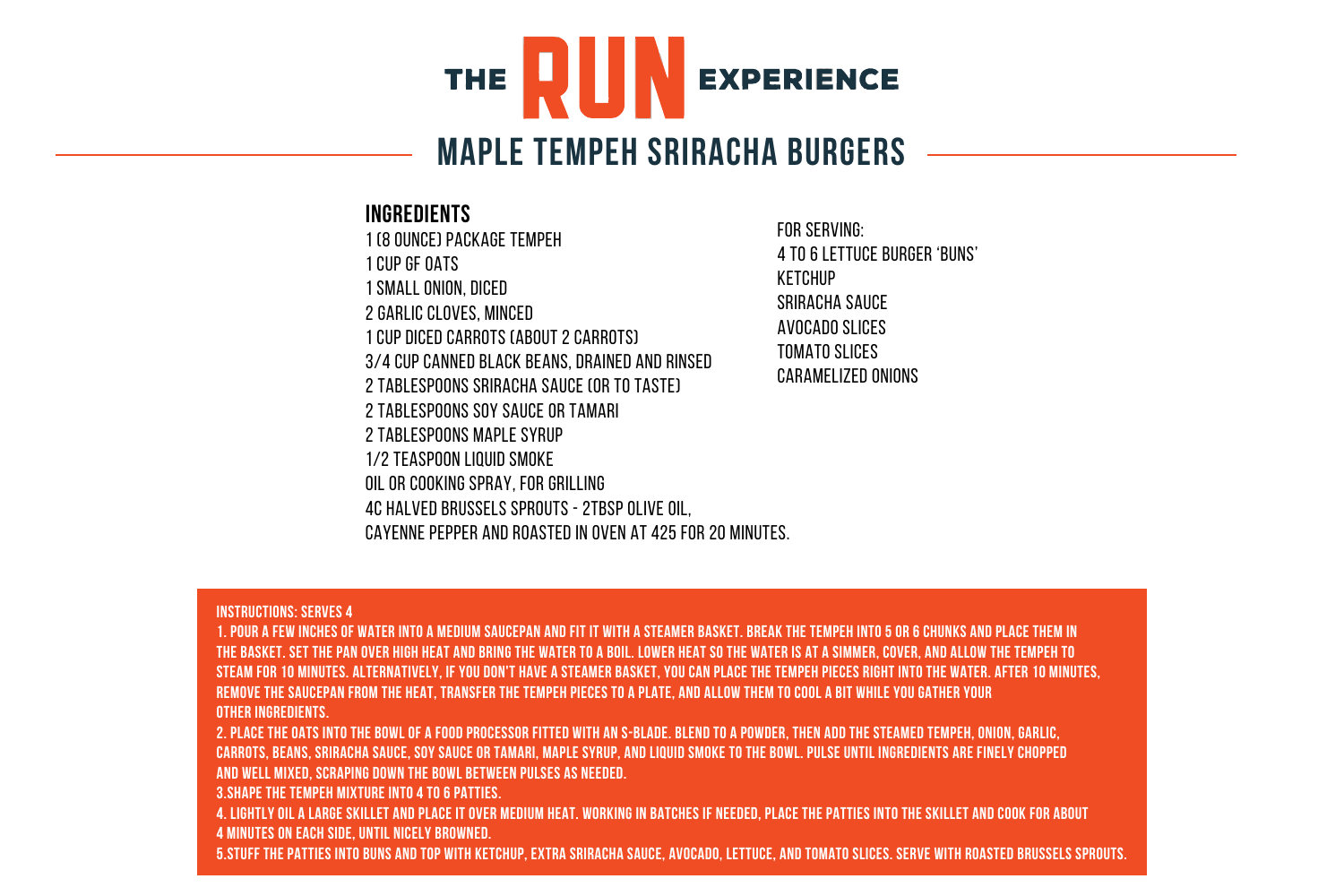

# **Maple Tempeh Sriracha Burgers**

# **INGREdients**

1 (8 ounce) package tempeh 1 cup GF oats 1 small onion, diced 2 garlic cloves, minced 1 cup diced carrots (about 2 carrots) 3/4 cup canned black beans, drained and rinsed 2 tablespoons sriracha sauce (or to taste) 2 tablespoons soy sauce or tamari 2 tablespoons maple syrup 1/2 teaspoon liquid smoke Oil or cooking spray, for grilling 4c halved brussels sprouts - 2tbsp olive oil, cayenne pepper and roasted in oven at 425 for 20 minutes.

For serving: 4 to 6 lettuce burger 'buns' Ketchup Sriracha sauce Avocado slices Tomato slices Caramelized Onions

#### **Instructions: Serves 4**

**1. Pour a few inches of water into a medium saucepan and fit it with a steamer basket. Break the tempeh into 5 or 6 chunks and place them in the basket. Set the pan over high heat and bring the water to a boil. Lower heat so the water is at a simmer, cover, and allow the tempeh to steam for 10 minutes. Alternatively, if you don't have a steamer basket, you can place the tempeh pieces right into the water. After 10 minutes, remove the saucepan from the heat, transfer the tempeh pieces to a plate, and allow them to cool a bit while you gather your other ingredients.**

**2. Place the oats into the bowl of a food processor fitted with an S-blade. Blend to a powder, then add the steamed tempeh, onion, garlic, carrots, beans, sriracha sauce, soy sauce or tamari, maple syrup, and liquid smoke to the bowl. Pulse until ingredients are finely chopped and well mixed, scraping down the bowl between pulses as needed.**

**3.Shape the tempeh mixture into 4 to 6 patties.**

**4. Lightly oil a large skillet and place it over medium heat. Working in batches if needed, place the patties into the skillet and cook for about 4 minutes on each side, until nicely browned.**

**5.Stuff the patties into buns and top with ketchup, extra sriracha sauce, avocado, lettuce, and tomato slices. Serve with roasted brussels sprouts.**